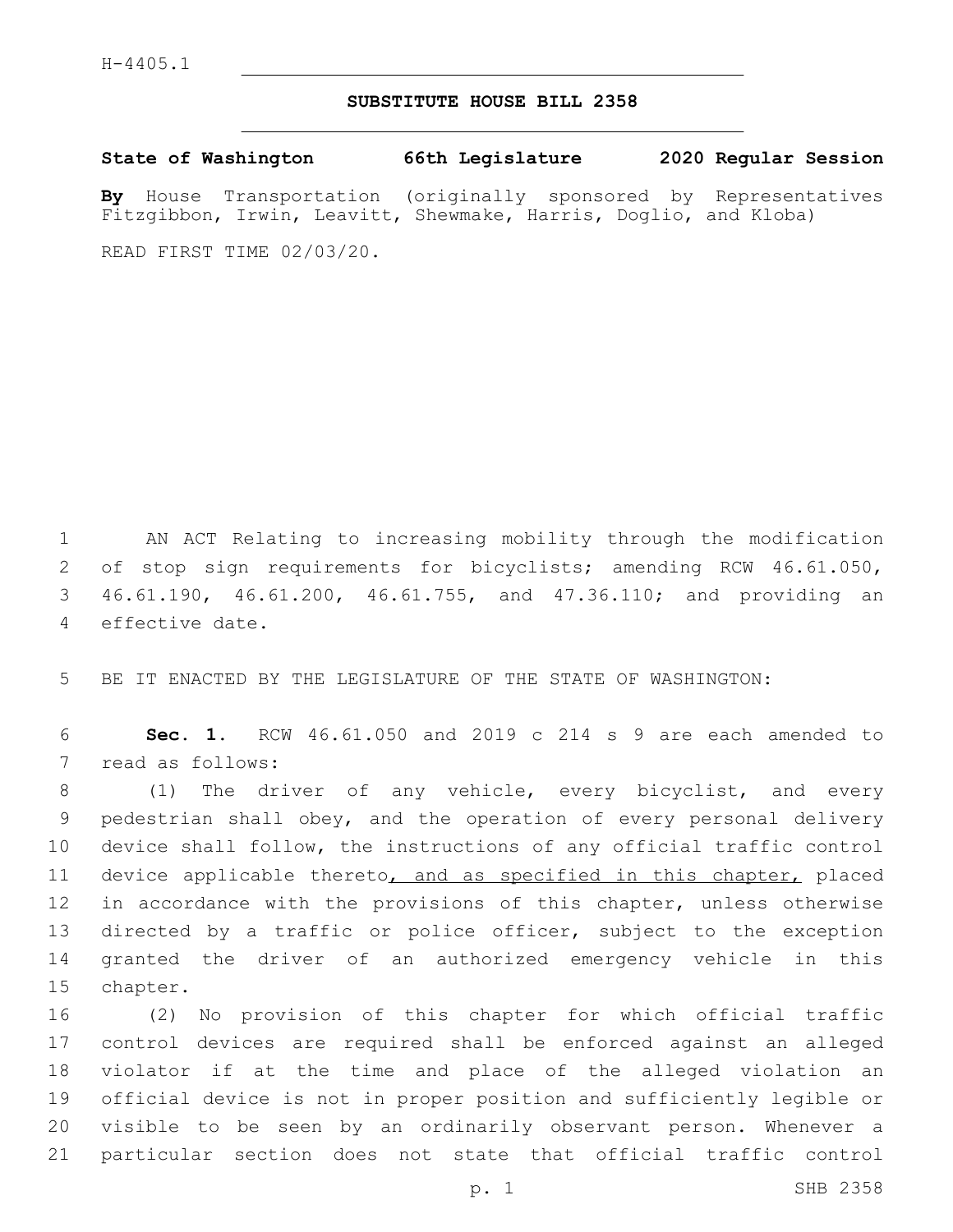## **SUBSTITUTE HOUSE BILL 2358**

**State of Washington 66th Legislature 2020 Regular Session**

**By** House Transportation (originally sponsored by Representatives Fitzgibbon, Irwin, Leavitt, Shewmake, Harris, Doglio, and Kloba)

READ FIRST TIME 02/03/20.

 AN ACT Relating to increasing mobility through the modification of stop sign requirements for bicyclists; amending RCW 46.61.050, 46.61.190, 46.61.200, 46.61.755, and 47.36.110; and providing an 4 effective date.

5 BE IT ENACTED BY THE LEGISLATURE OF THE STATE OF WASHINGTON:

6 **Sec. 1.** RCW 46.61.050 and 2019 c 214 s 9 are each amended to 7 read as follows:

 (1) The driver of any vehicle, every bicyclist, and every pedestrian shall obey, and the operation of every personal delivery device shall follow, the instructions of any official traffic control 11 device applicable thereto, and as specified in this chapter, placed 12 in accordance with the provisions of this chapter, unless otherwise directed by a traffic or police officer, subject to the exception granted the driver of an authorized emergency vehicle in this 15 chapter.

 (2) No provision of this chapter for which official traffic control devices are required shall be enforced against an alleged violator if at the time and place of the alleged violation an official device is not in proper position and sufficiently legible or visible to be seen by an ordinarily observant person. Whenever a particular section does not state that official traffic control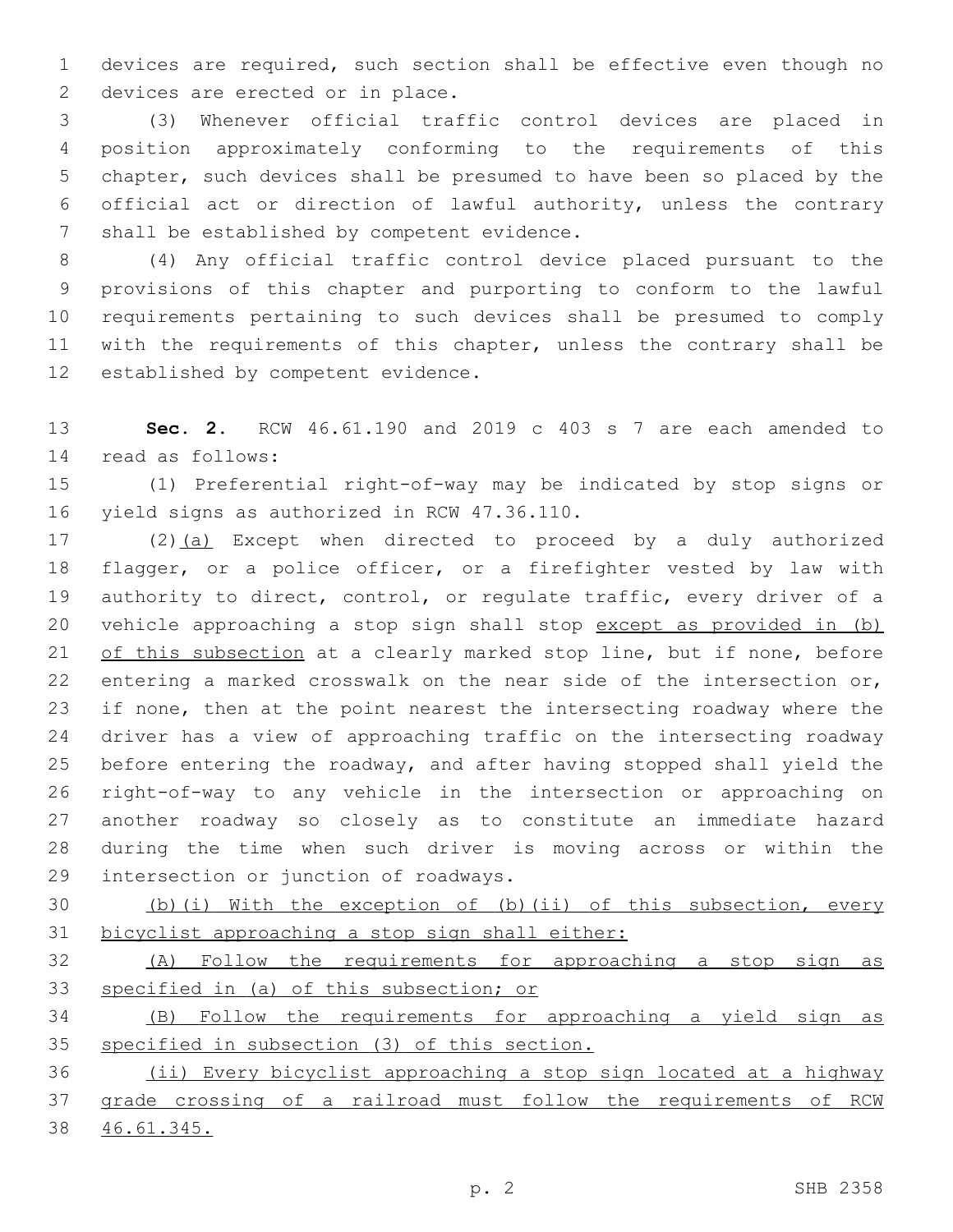devices are required, such section shall be effective even though no 2 devices are erected or in place.

 (3) Whenever official traffic control devices are placed in position approximately conforming to the requirements of this chapter, such devices shall be presumed to have been so placed by the official act or direction of lawful authority, unless the contrary 7 shall be established by competent evidence.

 (4) Any official traffic control device placed pursuant to the provisions of this chapter and purporting to conform to the lawful requirements pertaining to such devices shall be presumed to comply with the requirements of this chapter, unless the contrary shall be 12 established by competent evidence.

 **Sec. 2.** RCW 46.61.190 and 2019 c 403 s 7 are each amended to read as follows:14

 (1) Preferential right-of-way may be indicated by stop signs or 16 yield signs as authorized in RCW 47.36.110.

 (2)(a) Except when directed to proceed by a duly authorized flagger, or a police officer, or a firefighter vested by law with authority to direct, control, or regulate traffic, every driver of a vehicle approaching a stop sign shall stop except as provided in (b) of this subsection at a clearly marked stop line, but if none, before entering a marked crosswalk on the near side of the intersection or, if none, then at the point nearest the intersecting roadway where the driver has a view of approaching traffic on the intersecting roadway before entering the roadway, and after having stopped shall yield the right-of-way to any vehicle in the intersection or approaching on another roadway so closely as to constitute an immediate hazard during the time when such driver is moving across or within the 29 intersection or junction of roadways.

 (b)(i) With the exception of (b)(ii) of this subsection, every bicyclist approaching a stop sign shall either:

 (A) Follow the requirements for approaching a stop sign as specified in (a) of this subsection; or

 (B) Follow the requirements for approaching a yield sign as specified in subsection (3) of this section.

 (ii) Every bicyclist approaching a stop sign located at a highway grade crossing of a railroad must follow the requirements of RCW 46.61.345.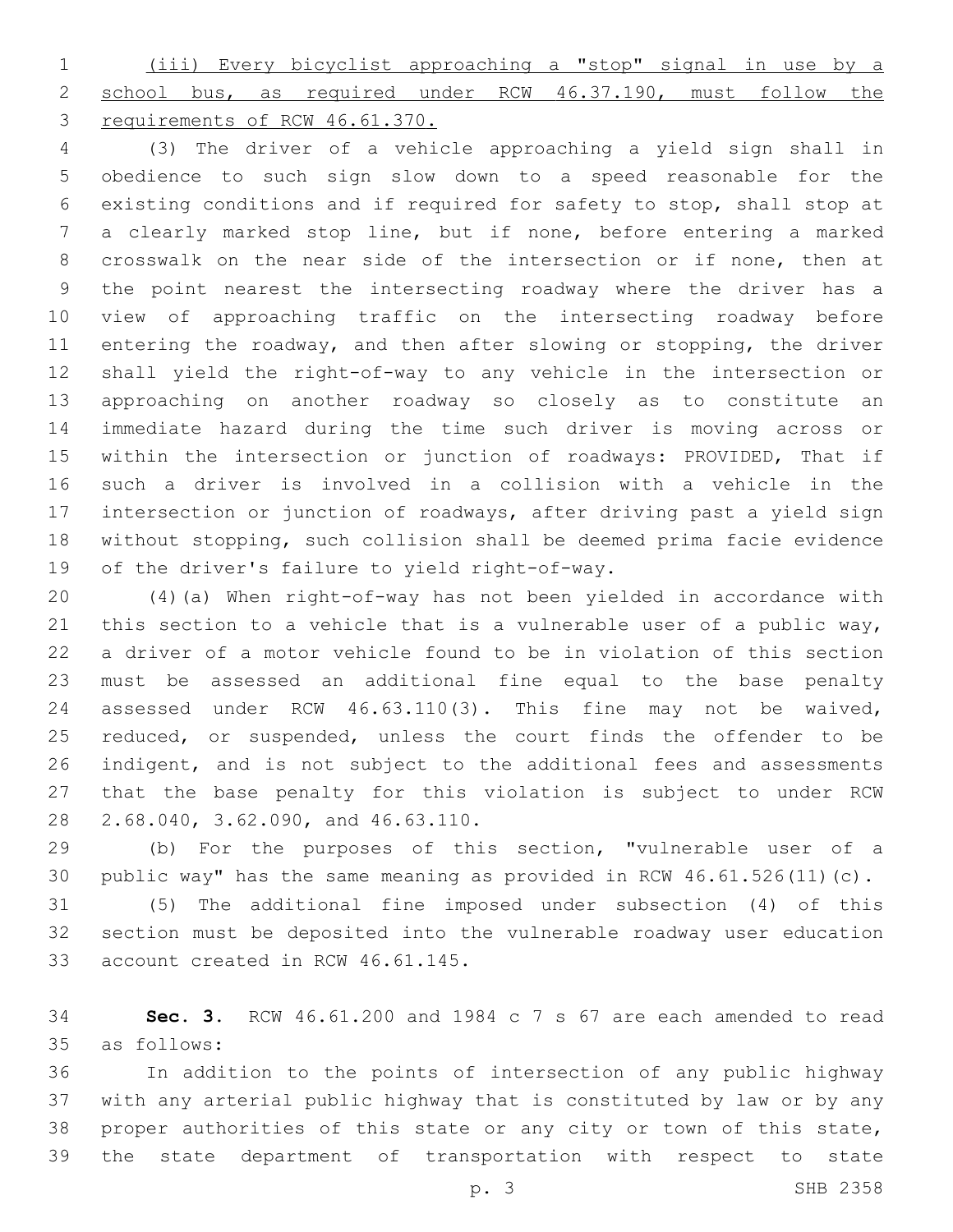(iii) Every bicyclist approaching a "stop" signal in use by a 2 school bus, as required under RCW 46.37.190, must follow the requirements of RCW 46.61.370.

 (3) The driver of a vehicle approaching a yield sign shall in obedience to such sign slow down to a speed reasonable for the existing conditions and if required for safety to stop, shall stop at a clearly marked stop line, but if none, before entering a marked crosswalk on the near side of the intersection or if none, then at the point nearest the intersecting roadway where the driver has a view of approaching traffic on the intersecting roadway before entering the roadway, and then after slowing or stopping, the driver shall yield the right-of-way to any vehicle in the intersection or approaching on another roadway so closely as to constitute an immediate hazard during the time such driver is moving across or within the intersection or junction of roadways: PROVIDED, That if such a driver is involved in a collision with a vehicle in the intersection or junction of roadways, after driving past a yield sign without stopping, such collision shall be deemed prima facie evidence 19 of the driver's failure to yield right-of-way.

 (4)(a) When right-of-way has not been yielded in accordance with this section to a vehicle that is a vulnerable user of a public way, a driver of a motor vehicle found to be in violation of this section must be assessed an additional fine equal to the base penalty assessed under RCW 46.63.110(3). This fine may not be waived, 25 reduced, or suspended, unless the court finds the offender to be indigent, and is not subject to the additional fees and assessments that the base penalty for this violation is subject to under RCW 28 2.68.040, 3.62.090, and 46.63.110.

 (b) For the purposes of this section, "vulnerable user of a public way" has the same meaning as provided in RCW 46.61.526(11)(c).

 (5) The additional fine imposed under subsection (4) of this section must be deposited into the vulnerable roadway user education 33 account created in RCW 46.61.145.

 **Sec. 3.** RCW 46.61.200 and 1984 c 7 s 67 are each amended to read as follows:35

 In addition to the points of intersection of any public highway with any arterial public highway that is constituted by law or by any proper authorities of this state or any city or town of this state, the state department of transportation with respect to state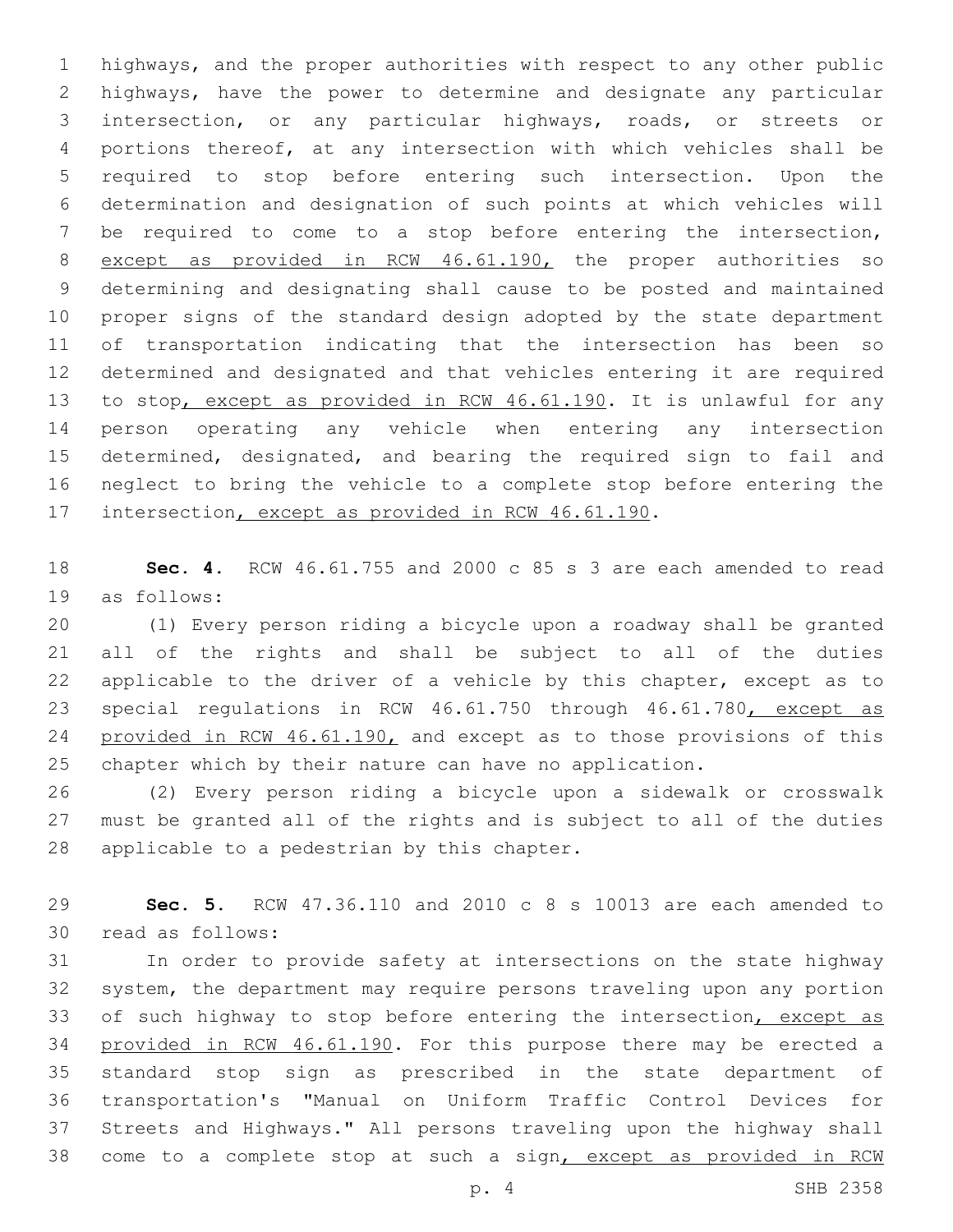highways, and the proper authorities with respect to any other public highways, have the power to determine and designate any particular intersection, or any particular highways, roads, or streets or portions thereof, at any intersection with which vehicles shall be required to stop before entering such intersection. Upon the determination and designation of such points at which vehicles will be required to come to a stop before entering the intersection, except as provided in RCW 46.61.190, the proper authorities so determining and designating shall cause to be posted and maintained proper signs of the standard design adopted by the state department of transportation indicating that the intersection has been so determined and designated and that vehicles entering it are required to stop, except as provided in RCW 46.61.190. It is unlawful for any person operating any vehicle when entering any intersection determined, designated, and bearing the required sign to fail and neglect to bring the vehicle to a complete stop before entering the 17 intersection, except as provided in RCW 46.61.190.

 **Sec. 4.** RCW 46.61.755 and 2000 c 85 s 3 are each amended to read 19 as follows:

 (1) Every person riding a bicycle upon a roadway shall be granted all of the rights and shall be subject to all of the duties applicable to the driver of a vehicle by this chapter, except as to 23 special regulations in RCW 46.61.750 through 46.61.780, except as 24 provided in RCW 46.61.190, and except as to those provisions of this chapter which by their nature can have no application.

 (2) Every person riding a bicycle upon a sidewalk or crosswalk must be granted all of the rights and is subject to all of the duties 28 applicable to a pedestrian by this chapter.

 **Sec. 5.** RCW 47.36.110 and 2010 c 8 s 10013 are each amended to 30 read as follows:

 In order to provide safety at intersections on the state highway system, the department may require persons traveling upon any portion 33 of such highway to stop before entering the intersection, except as provided in RCW 46.61.190. For this purpose there may be erected a standard stop sign as prescribed in the state department of transportation's "Manual on Uniform Traffic Control Devices for Streets and Highways." All persons traveling upon the highway shall come to a complete stop at such a sign, except as provided in RCW